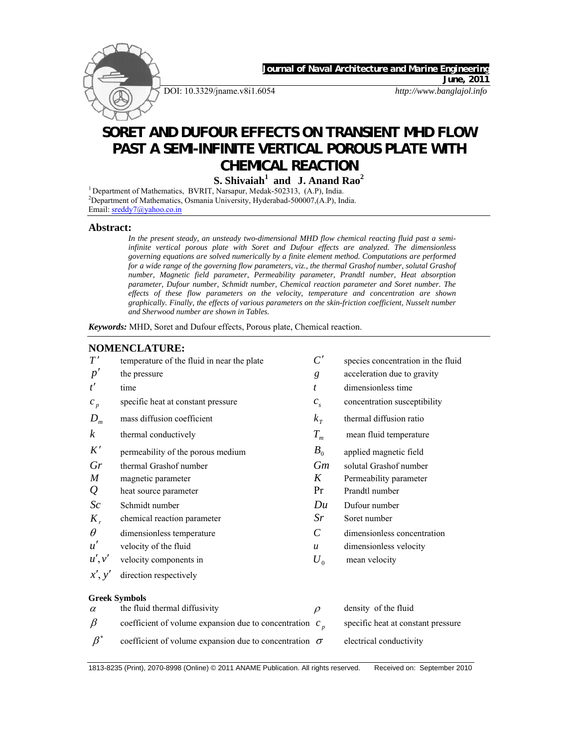

DOI: 10.3329/jname.v8i1.6054 *http://www.banglajol.info*

 *Journal of Naval Architecture and Marine Engineering* 

*June, 2011* 

# **SORET AND DUFOUR EFFECTS ON TRANSIENT MHD FLOW PAST A SEMI-INFINITE VERTICAL POROUS PLATE WITH CHEMICAL REACTION**

**S. Shivaiah1 and J. Anand Rao2** 

<sup>1</sup> Department of Mathematics, BVRIT, Narsapur, Medak-502313, (A.P), India. <sup>2</sup>Department of Mathematics, Osmania University, Hyderabad-500007, (A.P), India. Email: sreddy7@yahoo.co.in

#### **Abstract:**

*In the present steady, an unsteady two-dimensional MHD flow chemical reacting fluid past a semiinfinite vertical porous plate with Soret and Dufour effects are analyzed. The dimensionless governing equations are solved numerically by a finite element method. Computations are performed for a wide range of the governing flow parameters, viz., the thermal Grashof number, solutal Grashof number, Magnetic field parameter, Permeability parameter, Prandtl number, Heat absorption parameter, Dufour number, Schmidt number, Chemical reaction parameter and Soret number. The effects of these flow parameters on the velocity, temperature and concentration are shown graphically. Finally, the effects of various parameters on the skin-friction coefficient, Nusselt number and Sherwood number are shown in Tables.* 

# *Keywords:* MHD, Soret and Dufour effects, Porous plate, Chemical reaction. **NOMENCLATURE:**  $T'$  temperature of the fluid in near the plate  $C'$  species concentration in the fluid  $p'$  the pressure  $g$  acceleration due to gravity *t*<sup> $t$ </sup> time *t* dimensionless time  $c_n$  specific heat at constant pressure  $c_s$  concentration susceptibility  $D_m$  mass diffusion coefficient  $K_T$  thermal diffusion ratio *k* thermal conductively  $T_m$  mean fluid temperature  $K'$  permeability of the porous medium  $B_0$  applied magnetic field *Gr* thermal Grashof number *Gm* solutal Grashof number *M* magnetic parameter *K* Permeability parameter *Q* heat source parameter **Pr** Prandtl number *Sc* Schmidt number *Du* Dufour number *K* chemical reaction parameter *Sr* Soret number  $\theta$  dimensionless temperature  $C$  dimensionless concentration  $u'$  velocity of the fluid  $u$  dimensionless velocity  $u', v'$  velocity components in  $U_0$  mean velocity *x*′, *y*′ direction respectively **Greek Symbols**

 $\alpha$  the fluid thermal diffusivity  $\rho$  density of the fluid  $β$  coefficient of volume expansion due to concentration  $c<sub>n</sub>$  specific heat at constant pressure  $\beta^*$  coefficient of volume expansion due to concentration  $\sigma$  electrical conductivity

1813-8235 (Print), 2070-8998 (Online) © 2011 ANAME Publication. All rights reserved. Received on: September 2010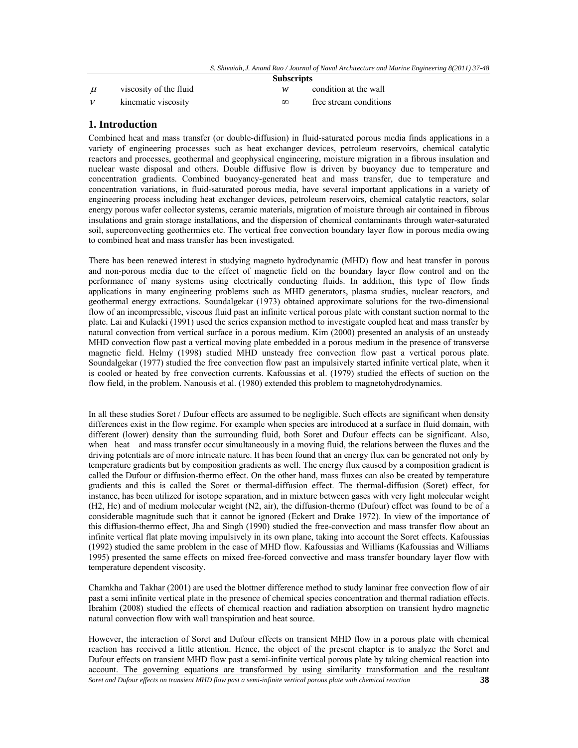|  | <b>Subscripts</b> |  |
|--|-------------------|--|
|--|-------------------|--|

 $\mu$  viscosity of the fluid  $w$  condition at the wall

 $\nu$  kinematic viscosity  $\infty$  free stream conditions

## **1. Introduction**

Combined heat and mass transfer (or double-diffusion) in fluid-saturated porous media finds applications in a variety of engineering processes such as heat exchanger devices, petroleum reservoirs, chemical catalytic reactors and processes, geothermal and geophysical engineering, moisture migration in a fibrous insulation and nuclear waste disposal and others. Double diffusive flow is driven by buoyancy due to temperature and concentration gradients. Combined buoyancy-generated heat and mass transfer, due to temperature and concentration variations, in fluid-saturated porous media, have several important applications in a variety of engineering process including heat exchanger devices, petroleum reservoirs, chemical catalytic reactors, solar energy porous wafer collector systems, ceramic materials, migration of moisture through air contained in fibrous insulations and grain storage installations, and the dispersion of chemical contaminants through water-saturated soil, superconvecting geothermics etc. The vertical free convection boundary layer flow in porous media owing to combined heat and mass transfer has been investigated.

There has been renewed interest in studying magneto hydrodynamic (MHD) flow and heat transfer in porous and non-porous media due to the effect of magnetic field on the boundary layer flow control and on the performance of many systems using electrically conducting fluids. In addition, this type of flow finds applications in many engineering problems such as MHD generators, plasma studies, nuclear reactors, and geothermal energy extractions. Soundalgekar (1973) obtained approximate solutions for the two-dimensional flow of an incompressible, viscous fluid past an infinite vertical porous plate with constant suction normal to the plate. Lai and Kulacki (1991) used the series expansion method to investigate coupled heat and mass transfer by natural convection from vertical surface in a porous medium. Kim (2000) presented an analysis of an unsteady MHD convection flow past a vertical moving plate embedded in a porous medium in the presence of transverse magnetic field. Helmy (1998) studied MHD unsteady free convection flow past a vertical porous plate. Soundalgekar (1977) studied the free convection flow past an impulsively started infinite vertical plate, when it is cooled or heated by free convection currents. Kafoussias et al. (1979) studied the effects of suction on the flow field, in the problem. Nanousis et al. (1980) extended this problem to magnetohydrodynamics.

In all these studies Soret / Dufour effects are assumed to be negligible. Such effects are significant when density differences exist in the flow regime. For example when species are introduced at a surface in fluid domain, with different (lower) density than the surrounding fluid, both Soret and Dufour effects can be significant. Also, when heat and mass transfer occur simultaneously in a moving fluid, the relations between the fluxes and the driving potentials are of more intricate nature. It has been found that an energy flux can be generated not only by temperature gradients but by composition gradients as well. The energy flux caused by a composition gradient is called the Dufour or diffusion-thermo effect. On the other hand, mass fluxes can also be created by temperature gradients and this is called the Soret or thermal-diffusion effect. The thermal-diffusion (Soret) effect, for instance, has been utilized for isotope separation, and in mixture between gases with very light molecular weight (H2, He) and of medium molecular weight (N2, air), the diffusion-thermo (Dufour) effect was found to be of a considerable magnitude such that it cannot be ignored (Eckert and Drake 1972). In view of the importance of this diffusion-thermo effect, Jha and Singh (1990) studied the free-convection and mass transfer flow about an infinite vertical flat plate moving impulsively in its own plane, taking into account the Soret effects. Kafoussias (1992) studied the same problem in the case of MHD flow. Kafoussias and Williams (Kafoussias and Williams 1995) presented the same effects on mixed free-forced convective and mass transfer boundary layer flow with temperature dependent viscosity.

Chamkha and Takhar (2001) are used the blottner difference method to study laminar free convection flow of air past a semi infinite vertical plate in the presence of chemical species concentration and thermal radiation effects. Ibrahim (2008) studied the effects of chemical reaction and radiation absorption on transient hydro magnetic natural convection flow with wall transpiration and heat source.

*Soret and Dufour effects on transient MHD flow past a semi-infinite vertical porous plate with chemical reaction* **38** However, the interaction of Soret and Dufour effects on transient MHD flow in a porous plate with chemical reaction has received a little attention. Hence, the object of the present chapter is to analyze the Soret and Dufour effects on transient MHD flow past a semi-infinite vertical porous plate by taking chemical reaction into account. The governing equations are transformed by using similarity transformation and the resultant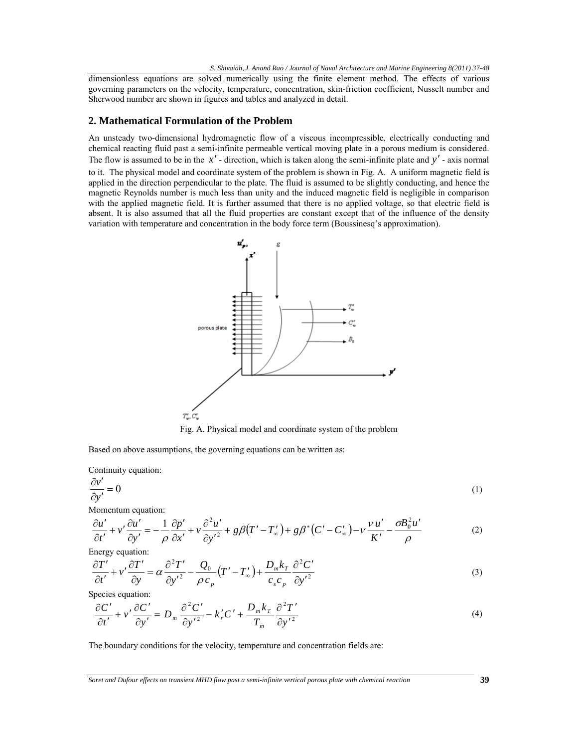dimensionless equations are solved numerically using the finite element method. The effects of various governing parameters on the velocity, temperature, concentration, skin-friction coefficient, Nusselt number and Sherwood number are shown in figures and tables and analyzed in detail.

## **2. Mathematical Formulation of the Problem**

An unsteady two-dimensional hydromagnetic flow of a viscous incompressible, electrically conducting and chemical reacting fluid past a semi-infinite permeable vertical moving plate in a porous medium is considered. The flow is assumed to be in the  $x'$ -direction, which is taken along the semi-infinite plate and  $y'$ -axis normal to it. The physical model and coordinate system of the problem is shown in Fig. A. A uniform magnetic field is applied in the direction perpendicular to the plate. The fluid is assumed to be slightly conducting, and hence the magnetic Reynolds number is much less than unity and the induced magnetic field is negligible in comparison with the applied magnetic field. It is further assumed that there is no applied voltage, so that electric field is absent. It is also assumed that all the fluid properties are constant except that of the influence of the density variation with temperature and concentration in the body force term (Boussinesq's approximation).



Fig. A. Physical model and coordinate system of the problem

Based on above assumptions, the governing equations can be written as:

Continuity equation:

$$
\frac{\partial v'}{\partial y'} = 0 \tag{1}
$$

Momentum equation:

$$
\frac{\partial u'}{\partial t'} + v' \frac{\partial u'}{\partial y'} = -\frac{1}{\rho} \frac{\partial p'}{\partial x'} + v \frac{\partial^2 u'}{\partial y'^2} + g\beta (T' - T'_{\infty}) + g\beta^* (C' - C'_{\infty}) - v \frac{v u'}{K'} - \frac{\sigma B_0^2 u'}{\rho}
$$
(2)

Energy equation:

$$
\frac{\partial T'}{\partial t'} + v' \frac{\partial T'}{\partial y} = \alpha \frac{\partial^2 T'}{\partial y'^2} - \frac{Q_0}{\rho c_p} (T' - T'_\n\infty) + \frac{D_m k_r}{c_s c_p} \frac{\partial^2 C'}{\partial y'^2}
$$
\n(3)

Species equation:

$$
\frac{\partial C'}{\partial t'} + v' \frac{\partial C'}{\partial y'} = D_m \frac{\partial^2 C'}{\partial y'^2} - k'_r C' + \frac{D_m k_r}{T_m} \frac{\partial^2 T'}{\partial y'^2}
$$
(4)

The boundary conditions for the velocity, temperature and concentration fields are: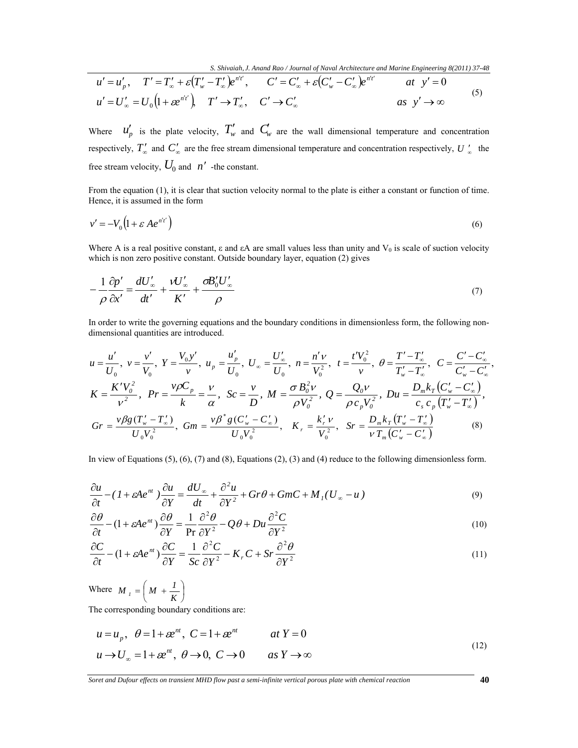$$
u' = u'_p, \quad T' = T'_\infty + \varepsilon (T'_w - T'_\infty) e^{n't'}, \quad C' = C'_\infty + \varepsilon (C'_w - C'_\infty) e^{n't'} \quad \text{at } y' = 0
$$
  

$$
u' = U'_\infty = U_0 \left(1 + \varepsilon e^{n't'}\right), \quad T' \to T'_\infty, \quad C' \to C'_\infty \quad \text{as } y' \to \infty
$$
 (5)

Where  $u'_p$  is the plate velocity,  $T'_w$  and  $C_w$  are the wall dimensional temperature and concentration respectively,  $T'_{\infty}$  and  $C'_{\infty}$  are the free stream dimensional temperature and concentration respectively,  $U'_{\infty}$  the free stream velocity,  $U_0$  and  $n'$  -the constant.

From the equation (1), it is clear that suction velocity normal to the plate is either a constant or function of time. Hence, it is assumed in the form

$$
v' = -V_0 \left(1 + \varepsilon A e^{n'r}\right) \tag{6}
$$

Where A is a real positive constant,  $\varepsilon$  and  $\varepsilon$ A are small values less than unity and  $V_0$  is scale of suction velocity which is non zero positive constant. Outside boundary layer, equation (2) gives

$$
-\frac{1}{\rho}\frac{\partial p'}{\partial x'} = \frac{dU'_{\infty}}{dt'} + \frac{VU'_{\infty}}{K'} + \frac{\sigma B'_{0}U'_{\infty}}{\rho}
$$
\n<sup>(7)</sup>

In order to write the governing equations and the boundary conditions in dimensionless form, the following nondimensional quantities are introduced.

$$
u = \frac{u'}{U_0}, \ v = \frac{v'}{V_0}, \ Y = \frac{V_0 y'}{v}, \ u_p = \frac{u'_p}{U_0}, \ U_\infty = \frac{U'_\infty}{U_0}, \ n = \frac{n'v}{V_0^2}, \ t = \frac{t'V_0^2}{v}, \ \theta = \frac{T'-T'_\infty}{T'_w-T'_\infty}, \ C = \frac{C'-C'_\infty}{C'_w-C'_\infty}, \ K = \frac{K'V_0^2}{v^2}, \ \ Pr = \frac{v\rho C_p}{k} = \frac{v}{\alpha}, \ \ Sc = \frac{v}{D}, \ M = \frac{\sigma B_0^2 v}{\rho V_0^2}, \ \ Q = \frac{Q_0 v}{\rho c_p V_0^2}, \ \ Du = \frac{D_m k_T (C'_w - C'_\infty)}{c_s c_p (T'_w - T'_\infty)}, \ \ Gr = \frac{v\beta g (T'_w - T'_\infty)}{U_0 V_0^2}, \ \ G_r = \frac{v\beta g (C'_w - C'_\infty)}{U_0 V_0^2}, \ \ K_r = \frac{k'_r v}{V_0^2}, \ \ Sr = \frac{D_m k_T (T'_w - T'_\infty)}{v T_m (C'_w - C'_\infty)} \tag{8}
$$

In view of Equations (5), (6), (7) and (8), Equations (2), (3) and (4) reduce to the following dimensionless form.

$$
\frac{\partial u}{\partial t} - (1 + \varepsilon A e^{nt}) \frac{\partial u}{\partial Y} = \frac{dU_{\infty}}{dt} + \frac{\partial^2 u}{\partial Y^2} + Gr\theta + GmC + M_I(U_{\infty} - u)
$$
\n(9)

$$
\frac{\partial \theta}{\partial t} - (1 + \varepsilon A e^{nt}) \frac{\partial \theta}{\partial Y} = \frac{1}{\text{Pr}} \frac{\partial^2 \theta}{\partial Y^2} - Q\theta + Du \frac{\partial^2 C}{\partial Y^2}
$$
(10)

$$
\frac{\partial C}{\partial t} - (1 + \varepsilon A e^{nt}) \frac{\partial C}{\partial Y} = \frac{1}{Sc} \frac{\partial^2 C}{\partial Y^2} - K_r C + Sr \frac{\partial^2 \theta}{\partial Y^2}
$$
(11)

Where  $M_{i} = \left(M + \frac{1}{K}\right)$  $M_{I} = \left(M + \frac{I}{K}\right)$ 

The corresponding boundary conditions are:

$$
u = u_p, \quad \theta = 1 + \varepsilon e^{nt}, \quad C = 1 + \varepsilon e^{nt} \qquad \text{at } Y = 0
$$
  

$$
u \to U_{\infty} = 1 + \varepsilon e^{nt}, \quad \theta \to 0, \quad C \to 0 \qquad \text{as } Y \to \infty
$$
 (12)

*Soret and Dufour effects on transient MHD flow past a semi-infinite vertical porous plate with chemical reaction* **40**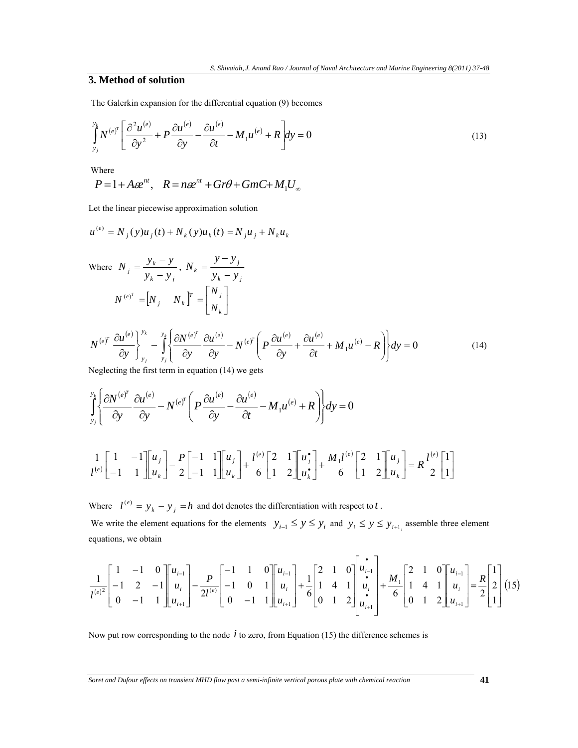# **3. Method of solution**

The Galerkin expansion for the differential equation (9) becomes

$$
\int_{y_j}^{y_k} N^{(e)^T} \left[ \frac{\partial^2 u^{(e)}}{\partial y^2} + P \frac{\partial u^{(e)}}{\partial y} - \frac{\partial u^{(e)}}{\partial t} - M_1 u^{(e)} + R \right] dy = 0 \tag{13}
$$

Where

$$
P=1+A\epsilon e^{nt}, \quad R=n\epsilon e^{nt}+Gr\theta+GmC+M_1U_{\infty}
$$

Let the linear piecewise approximation solution

$$
u^{(e)} = N_j(y)u_j(t) + N_k(y)u_k(t) = N_ju_j + N_ku_k
$$

Where 
$$
N_j = \frac{y_k - y}{y_k - y_j}, N_k = \frac{y - y_j}{y_k - y_j}
$$
  

$$
N^{(e)^T} = [N_j \quad N_k]^T = \begin{bmatrix} N_j \\ N_k \end{bmatrix}
$$

$$
N^{(e)^{T}} \frac{\partial u^{(e)}}{\partial y}\bigg|_{y_{j}}^{y_{k}} - \int_{y_{j}}^{y_{k}} \left\{\frac{\partial N^{(e)^{T}}}{\partial y} \frac{\partial u^{(e)}}{\partial y} - N^{(e)^{T}} \left(P \frac{\partial u^{(e)}}{\partial y} + \frac{\partial u^{(e)}}{\partial t} + M_{1} u^{(e)} - R\right)\right\} dy = 0
$$
\n(14)

Neglecting the first term in equation (14) we gets

$$
\int_{y_j}^{y_k} \left\{ \frac{\partial N^{(e)^T}}{\partial y} \frac{\partial u^{(e)}}{\partial y} - N^{(e)^T} \left( P \frac{\partial u^{(e)}}{\partial y} - \frac{\partial u^{(e)}}{\partial t} - M_1 u^{(e)} + R \right) \right\} dy = 0
$$
\n
$$
\frac{1}{l^{(e)}} \left[ \begin{array}{cc} 1 & -1 \\ -1 & 1 \end{array} \right] \left[ \begin{array}{c} u_j \\ u_k \end{array} \right] - \frac{P}{2} \left[ \begin{array}{cc} -1 & 1 \\ -1 & 1 \end{array} \right] \left[ \begin{array}{c} u_j \\ u_k \end{array} \right] + \frac{l^{(e)}}{6} \left[ \begin{array}{cc} 2 & 1 \\ 1 & 2 \end{array} \right] \left[ \begin{array}{c} u_j \\ u_k \end{array} \right] + \frac{M_l l^{(e)}}{6} \left[ \begin{array}{cc} 2 & 1 \\ 1 & 2 \end{array} \right] \left[ \begin{array}{c} u_j \\ u_k \end{array} \right] = R \frac{l^{(e)}}{2} \left[ \begin{array}{c} 1 \\ 1 \end{array} \right]
$$

Where  $l^{(e)} = y_k - y_j = h$  and dot denotes the differentiation with respect to *t*. We write the element equations for the elements  $y_{i-1} \le y \le y_i$  and  $y_i \le y \le y_{i+1}$  assemble three element equations, we obtain

$$
\frac{1}{l^{(e)^2}} \begin{bmatrix} 1 & -1 & 0 \\ -1 & 2 & -1 \\ 0 & -1 & 1 \end{bmatrix} \begin{bmatrix} u_{i-1} \\ u_i \\ u_{i+1} \end{bmatrix} - \frac{P}{2l^{(e)}} \begin{bmatrix} -1 & 1 & 0 \\ -1 & 0 & 1 \\ 0 & -1 & 1 \end{bmatrix} \begin{bmatrix} u_{i-1} \\ u_i \\ u_{i+1} \end{bmatrix} + \frac{1}{6} \begin{bmatrix} 2 & 1 & 0 \\ 1 & 4 & 1 \\ 0 & 1 & 2 \end{bmatrix} \begin{bmatrix} u_{i-1} \\ u_i \\ u_{i+1} \end{bmatrix} + \frac{M_1}{6} \begin{bmatrix} 2 & 1 & 0 \\ 1 & 4 & 1 \\ 0 & 1 & 2 \end{bmatrix} \begin{bmatrix} u_{i-1} \\ u_i \\ u_{i+1} \end{bmatrix} = \frac{R}{2} \begin{bmatrix} 1 \\ 2 \\ 1 \end{bmatrix} (15)
$$

Now put row corresponding to the node *i* to zero, from Equation (15) the difference schemes is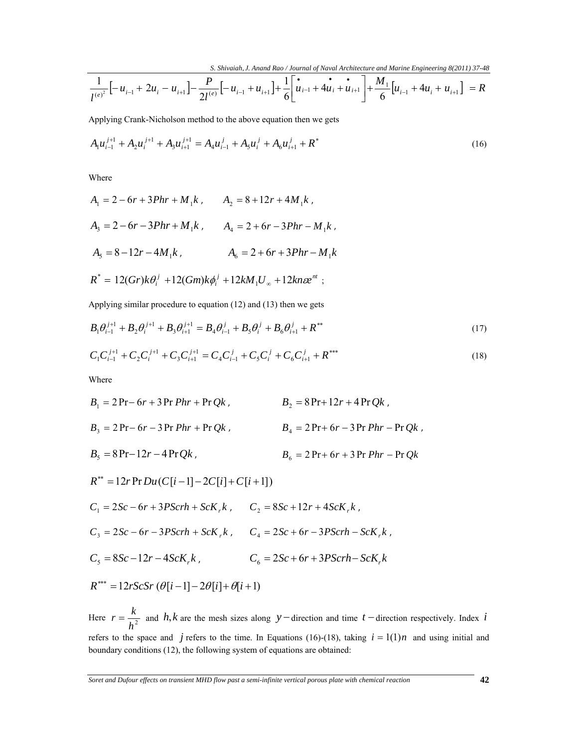$$
\frac{1}{l^{(e)^2}}\Big[-u_{i-1}+2u_i-u_{i+1}\Big]-\frac{P}{2l^{(e)}}\Big[-u_{i-1}+u_{i+1}\Big]+\frac{1}{6}\Big[\mathbf{u}_{i-1}+\mathbf{u}_{i}+\mathbf{u}_{i+1}\Big]+\frac{M_1}{6}\Big[u_{i-1}+4u_i+u_{i+1}\Big]=R
$$

Applying Crank-Nicholson method to the above equation then we gets

$$
A_{1}u_{i-1}^{j+1} + A_{2}u_{i}^{j+1} + A_{3}u_{i+1}^{j+1} = A_{4}u_{i-1}^{j} + A_{5}u_{i}^{j} + A_{6}u_{i+1}^{j} + R^{*}
$$
\n(16)

Where

$$
A_1 = 2 - 6r + 3Phr + M_1k, \t A_2 = 8 + 12r + 4M_1k,
$$
  
\n
$$
A_3 = 2 - 6r - 3Phr + M_1k, \t A_4 = 2 + 6r - 3Phr - M_1k,
$$
  
\n
$$
A_5 = 8 - 12r - 4M_1k, \t A_6 = 2 + 6r + 3Phr - M_1k
$$
  
\n
$$
R^* = 12(Gr)k\theta_i^j + 12(Gm)k\phi_i^j + 12kM_1U_{\infty} + 12kn\epsilon e^{nt};
$$

Applying similar procedure to equation (12) and (13) then we gets

$$
B_1 \theta_{i-1}^{j+1} + B_2 \theta_i^{j+1} + B_3 \theta_{i+1}^{j+1} = B_4 \theta_{i-1}^j + B_5 \theta_i^j + B_6 \theta_{i+1}^j + R^{**}
$$
\n(17)

$$
C_1 C_{i-1}^{j+1} + C_2 C_i^{j+1} + C_3 C_{i+1}^{j+1} = C_4 C_{i-1}^j + C_5 C_i^j + C_6 C_{i+1}^j + R^{***}
$$
\n(18)

Where

$$
B_1 = 2 \Pr - 6r + 3 \Pr Phr + \Pr Qk, \qquad B_2 = 8 \Pr + 12r + 4 \Pr Qk, \n B_3 = 2 \Pr - 6r - 3 \Pr Phr + \Pr Qk, \qquad B_4 = 2 \Pr + 6r - 3 \Pr Phr - \Pr Qk, \n B_5 = 8 \Pr - 12r - 4 \Pr Qk, \qquad B_6 = 2 \Pr + 6r + 3 \Pr Phr - \Pr Qk
$$

$$
R^{**} = 12r \Pr Du(C[i-1] - 2C[i] + C[i+1])
$$
  
\n
$$
C_1 = 2Sc - 6r + 3PScrh + ScK_r k, \qquad C_2 = 8Sc + 12r + 4ScK_r k,
$$
  
\n
$$
C_3 = 2Sc - 6r - 3PScrh + ScK_r k, \qquad C_4 = 2Sc + 6r - 3PScrh - ScK_r k,
$$
  
\n
$$
C_5 = 8Sc - 12r - 4ScK_r k, \qquad C_6 = 2Sc + 6r + 3PScrh - ScK_r k
$$
  
\n
$$
R^{***} = 12rScSr \ (\theta[i-1] - 2\theta[i] + \theta[i+1])
$$

Here  $r = \frac{R}{h^2}$  $r = \frac{k}{n^2}$  and *h*,*k* are the mesh sizes along *y* − direction and time *t* − direction respectively. Index *i* refers to the space and *j* refers to the time. In Equations (16)-(18), taking  $i = 1(1)n$  and using initial and boundary conditions (12), the following system of equations are obtained: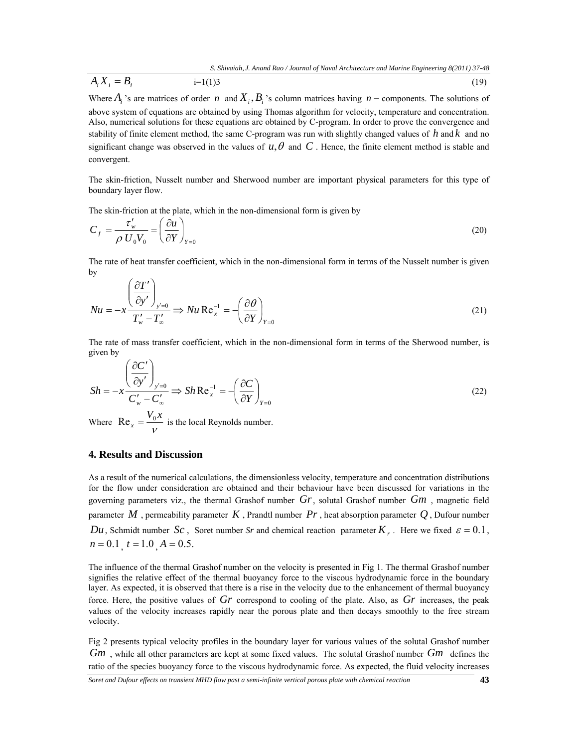$$
A_i X_i = B_i \tag{19}
$$

Where  $A_i$  's are matrices of order *n* and  $X_i$ ,  $B_i$  's column matrices having *n* − components. The solutions of above system of equations are obtained by using Thomas algorithm for velocity, temperature and concentration. Also, numerical solutions for these equations are obtained by C-program. In order to prove the convergence and stability of finite element method, the same C-program was run with slightly changed values of *h* and *k* and no significant change was observed in the values of  $u, \theta$  and C. Hence, the finite element method is stable and convergent.

The skin-friction, Nusselt number and Sherwood number are important physical parameters for this type of boundary layer flow.

The skin-friction at the plate, which in the non-dimensional form is given by

$$
C_f = \frac{\tau_w'}{\rho \ U_0 V_0} = \left(\frac{\partial u}{\partial Y}\right)_{Y=0}
$$
\n(20)

The rate of heat transfer coefficient, which in the non-dimensional form in terms of the Nusselt number is given by

$$
Nu = -x \frac{\left(\frac{\partial T'}{\partial y'}\right)_{y'=0}}{T_w' - T_w'} \Rightarrow Nu \text{ Re}_x^{-1} = -\left(\frac{\partial \theta}{\partial Y}\right)_{Y=0}
$$
\n(21)

The rate of mass transfer coefficient, which in the non-dimensional form in terms of the Sherwood number, is given by

$$
Sh = -x \frac{\left(\frac{\partial C'}{\partial y'}\right)_{y'=0}}{C'_w - C'_\infty} \Rightarrow Sh \, \text{Re}_x^{-1} = -\left(\frac{\partial C}{\partial Y}\right)_{Y=0} \tag{22}
$$

Where  $\text{Re}_x = \frac{v}{v}$  $V_0 x$  $Re<sub>x</sub> = \frac{v_0 \lambda}{2}$  is the local Reynolds number.

### **4. Results and Discussion**

As a result of the numerical calculations, the dimensionless velocity, temperature and concentration distributions for the flow under consideration are obtained and their behaviour have been discussed for variations in the governing parameters viz., the thermal Grashof number *Gr*, solutal Grashof number *Gm* , magnetic field parameter  $M$ , permeability parameter  $K$ , Prandtl number  $Pr$ , heat absorption parameter  $Q$ , Dufour number *Du*, Schmidt number *Sc*, Soret number *Sr* and chemical reaction parameter  $K_r$ . Here we fixed  $\varepsilon = 0.1$ ,  $n = 0.1$ ,  $t = 1.0$ ,  $A = 0.5$ .

The influence of the thermal Grashof number on the velocity is presented in Fig 1. The thermal Grashof number signifies the relative effect of the thermal buoyancy force to the viscous hydrodynamic force in the boundary layer. As expected, it is observed that there is a rise in the velocity due to the enhancement of thermal buoyancy force. Here, the positive values of *Gr* correspond to cooling of the plate. Also, as *Gr* increases, the peak values of the velocity increases rapidly near the porous plate and then decays smoothly to the free stream velocity.

Fig 2 presents typical velocity profiles in the boundary layer for various values of the solutal Grashof number *Gm* , while all other parameters are kept at some fixed values. The solutal Grashof number *Gm* defines the ratio of the species buoyancy force to the viscous hydrodynamic force. As expected, the fluid velocity increases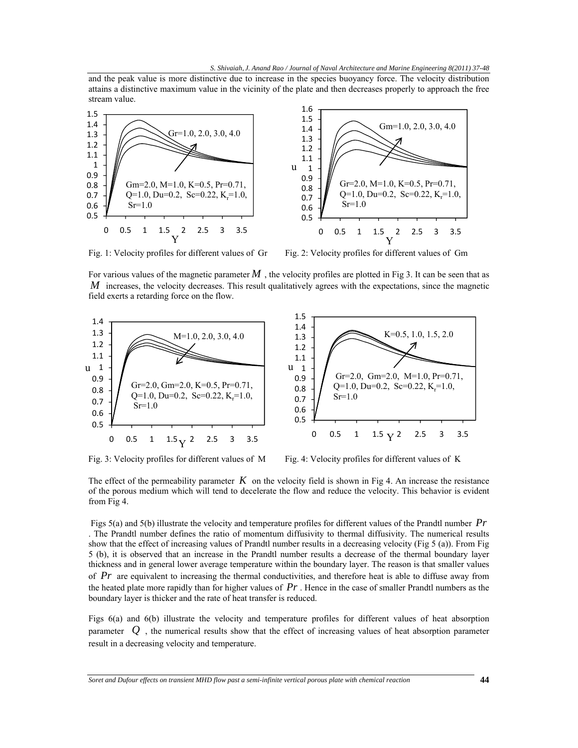and the peak value is more distinctive due to increase in the species buoyancy force. The velocity distribution attains a distinctive maximum value in the vicinity of the plate and then decreases properly to approach the free stream value.



Fig. 1: Velocity profiles for different values of Gr Fig. 2: Velocity profiles for different values of Gm

For various values of the magnetic parameter  $M$ , the velocity profiles are plotted in Fig 3. It can be seen that as *M* increases, the velocity decreases. This result qualitatively agrees with the expectations, since the magnetic field exerts a retarding force on the flow.





The effect of the permeability parameter  $K$  on the velocity field is shown in Fig 4. An increase the resistance of the porous medium which will tend to decelerate the flow and reduce the velocity. This behavior is evident from Fig 4.

 Figs 5(a) and 5(b) illustrate the velocity and temperature profiles for different values of the Prandtl number *Pr* . The Prandtl number defines the ratio of momentum diffusivity to thermal diffusivity. The numerical results show that the effect of increasing values of Prandtl number results in a decreasing velocity (Fig 5 (a)). From Fig 5 (b), it is observed that an increase in the Prandtl number results a decrease of the thermal boundary layer thickness and in general lower average temperature within the boundary layer. The reason is that smaller values of *Pr* are equivalent to increasing the thermal conductivities, and therefore heat is able to diffuse away from the heated plate more rapidly than for higher values of *Pr* . Hence in the case of smaller Prandtl numbers as the boundary layer is thicker and the rate of heat transfer is reduced.

Figs 6(a) and 6(b) illustrate the velocity and temperature profiles for different values of heat absorption parameter  $Q$ , the numerical results show that the effect of increasing values of heat absorption parameter result in a decreasing velocity and temperature.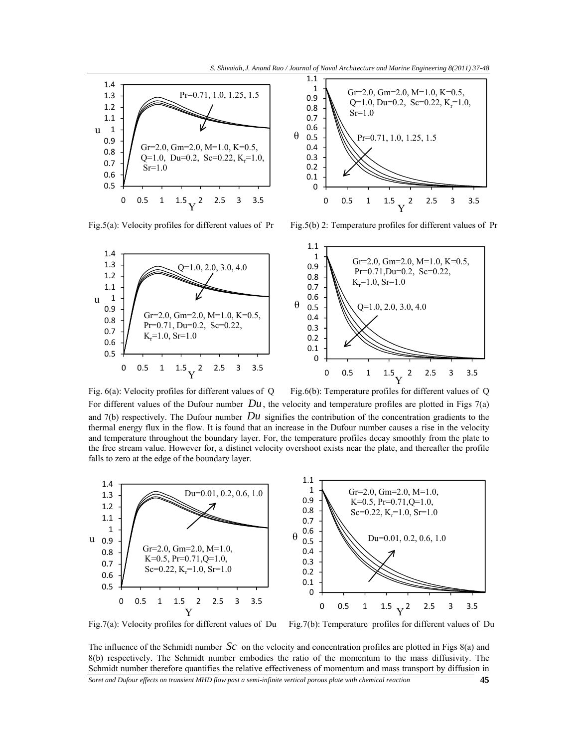



Fig.5(a): Velocity profiles for different values of Pr Fig.5(b) 2: Temperature profiles for different values of Pr



Fig.  $6(a)$ : Velocity profiles for different values of Q Fig. $6(b)$ : Temperature profiles for different values of Q For different values of the Dufour number  $Du$ , the velocity and temperature profiles are plotted in Figs 7(a) and 7(b) respectively. The Dufour number  $Du$  signifies the contribution of the concentration gradients to the thermal energy flux in the flow. It is found that an increase in the Dufour number causes a rise in the velocity and temperature throughout the boundary layer. For, the temperature profiles decay smoothly from the plate to the free stream value. However for, a distinct velocity overshoot exists near the plate, and thereafter the profile falls to zero at the edge of the boundary layer.



Fig.7(a): Velocity profiles for different values of Du Fig.7(b): Temperature profiles for different values of Du

The influence of the Schmidt number *Sc* on the velocity and concentration profiles are plotted in Figs 8(a) and 8(b) respectively. The Schmidt number embodies the ratio of the momentum to the mass diffusivity. The Schmidt number therefore quantifies the relative effectiveness of momentum and mass transport by diffusion in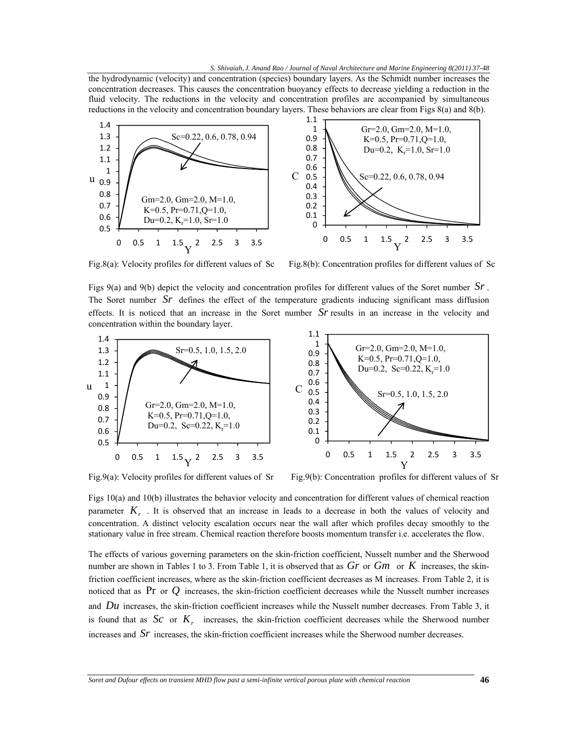the hydrodynamic (velocity) and concentration (species) boundary layers. As the Schmidt number increases the concentration decreases. This causes the concentration buoyancy effects to decrease yielding a reduction in the fluid velocity. The reductions in the velocity and concentration profiles are accompanied by simultaneous reductions in the velocity and concentration boundary layers. These behaviors are clear from Figs 8(a) and 8(b).



Fig.8(a): Velocity profiles for different values of Sc Fig.8(b): Concentration profiles for different values of Sc

Figs 9(a) and 9(b) depict the velocity and concentration profiles for different values of the Soret number *Sr* . The Soret number *Sr* defines the effect of the temperature gradients inducing significant mass diffusion effects. It is noticed that an increase in the Soret number *Sr* results in an increase in the velocity and concentration within the boundary layer.



Fig.9(a): Velocity profiles for different values of Sr Fig.9(b): Concentration profiles for different values of Sr

Figs 10(a) and 10(b) illustrates the behavior velocity and concentration for different values of chemical reaction parameter  $K<sub>r</sub>$ . It is observed that an increase in leads to a decrease in both the values of velocity and concentration. A distinct velocity escalation occurs near the wall after which profiles decay smoothly to the stationary value in free stream. Chemical reaction therefore boosts momentum transfer i.e. accelerates the flow.

The effects of various governing parameters on the skin-friction coefficient, Nusselt number and the Sherwood number are shown in Tables 1 to 3. From Table 1, it is observed that as *Gr* or *Gm* or *K* increases, the skinfriction coefficient increases, where as the skin-friction coefficient decreases as M increases. From Table 2, it is noticed that as Pr or  $Q$  increases, the skin-friction coefficient decreases while the Nusselt number increases and *Du* increases, the skin-friction coefficient increases while the Nusselt number decreases. From Table 3, it is found that as  $Sc$  or  $K<sub>r</sub>$  increases, the skin-friction coefficient decreases while the Sherwood number increases and *Sr* increases, the skin-friction coefficient increases while the Sherwood number decreases.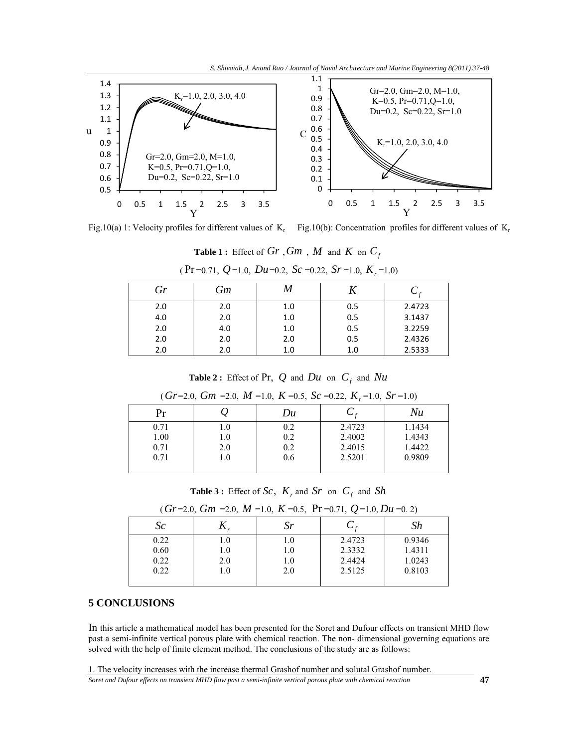

Fig.10(a) 1: Velocity profiles for different values of  $K_r$  Fig.10(b): Concentration profiles for different values of  $K_r$ 

|  | <b>Table 1:</b> Effect of $Gr$ , $Gm$ , $M$ and $K$ on $C_f$ |  |  |  |  |  |  |  |  |
|--|--------------------------------------------------------------|--|--|--|--|--|--|--|--|
|--|--------------------------------------------------------------|--|--|--|--|--|--|--|--|

| Gr  | Gm  | /VI |     |        |
|-----|-----|-----|-----|--------|
| 2.0 | 2.0 | 1.0 | 0.5 | 2.4723 |
| 4.0 | 2.0 | 1.0 | 0.5 | 3.1437 |
| 2.0 | 4.0 | 1.0 | 0.5 | 3.2259 |
| 2.0 | 2.0 | 2.0 | 0.5 | 2.4326 |
| 2.0 | 2.0 | 1.0 | 1.0 | 2.5333 |
|     |     |     |     |        |

 $(Pr = 0.71, Q = 1.0, Du = 0.2, Sc = 0.22, Sr = 1.0, K_r = 1.0)$ 

**Table 2 :** Effect of Pr,  $Q$  and  $Du$  on  $C_f$  and  $Nu$ 

|      | - ---<br>- - - - - - | - - - -<br>$- - - -$ | $- - -$ , $- - -$<br>$      -$ | - - - - |
|------|----------------------|----------------------|--------------------------------|---------|
| Pr   |                      | Du                   |                                | Nu      |
| 0.71 | $_{\rm 1.0}$         | 0.2                  | 2.4723                         | 1.1434  |
| 1.00 | 1.0                  | 0.2                  | 2.4002                         | 1.4343  |
| 0.71 | 2.0                  | 0.2                  | 2.4015                         | 1.4422  |
| 0.71 | 1.0                  | 0.6                  | 2.5201                         | 0.9809  |
|      |                      |                      |                                |         |

 $(Gr=2.0, Gm=2.0, M=1.0, K=0.5, Sc=0.22, K=1.0, Sr=1.0)$ 

**Table 3 :** Effect of *Sc*,  $K_r$  and *Sr* on  $C_f$  and *Sh* 

|      |              |                                 | $\frac{1}{2}, \frac{1}{2}, \frac{1}{2}, \frac{1}{2}, \frac{1}{2}, \frac{1}{2}, \frac{1}{2}, \frac{1}{2}, \frac{1}{2}, \frac{1}{2}, \frac{1}{2}, \frac{1}{2}, \frac{1}{2}, \frac{1}{2}, \frac{1}{2}, \frac{1}{2}, \frac{1}{2}, \frac{1}{2}, \frac{1}{2}, \frac{1}{2}, \frac{1}{2}, \frac{1}{2}, \frac{1}{2}, \frac{1}{2}, \frac{1}{2}, \frac{1}{2}, \frac{1}{2}, \frac{1}{2}, \frac{1}{2}, \frac{1}{2}, \frac{1}{2}, \frac{$ |        |
|------|--------------|---------------------------------|-----------------------------------------------------------------------------------------------------------------------------------------------------------------------------------------------------------------------------------------------------------------------------------------------------------------------------------------------------------------------------------------------------------------------------|--------|
| Sc   |              | $\mathcal{S}^r$                 |                                                                                                                                                                                                                                                                                                                                                                                                                             | Sh     |
| 0.22 | 0.1          | 0.                              | 2.4723                                                                                                                                                                                                                                                                                                                                                                                                                      | 0.9346 |
| 0.60 | $_{\rm 1.0}$ | $0_{\scriptscriptstyle{\perp}}$ | 2.3332                                                                                                                                                                                                                                                                                                                                                                                                                      | 1.4311 |
| 0.22 | 2.0          | 1.0                             | 2.4424                                                                                                                                                                                                                                                                                                                                                                                                                      | 1.0243 |
| 0.22 | 1.0          | 2.0                             | 2.5125                                                                                                                                                                                                                                                                                                                                                                                                                      | 0.8103 |
|      |              |                                 |                                                                                                                                                                                                                                                                                                                                                                                                                             |        |

| $(Gr=2.0, Gm=2.0, M=1.0, K=0.5, Pr=0.71, Q=1.0, Du=0.2)$ |  |  |
|----------------------------------------------------------|--|--|
|----------------------------------------------------------|--|--|

# **5 CONCLUSIONS**

In this article a mathematical model has been presented for the Soret and Dufour effects on transient MHD flow past a semi-infinite vertical porous plate with chemical reaction. The non- dimensional governing equations are solved with the help of finite element method. The conclusions of the study are as follows:

1. The velocity increases with the increase thermal Grashof number and solutal Grashof number.